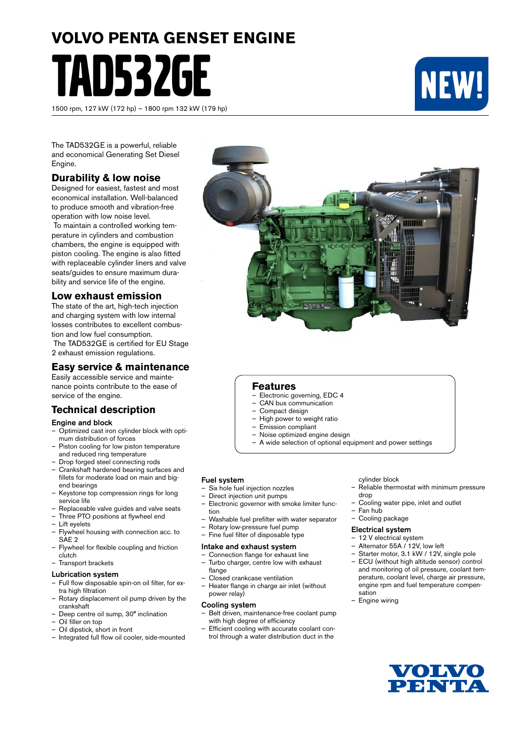# **VOLVO PENTA GENSET ENGINE** TAD532GE

1500 rpm, 127 kW (172 hp) – 1800 rpm 132 kW (179 hp)



The TAD532GE is a powerful, reliable and economical Generating Set Diesel Engine.

# **Durability & low noise**

Designed for easiest, fastest and most economical installation. Well-balanced to produce smooth and vibration-free operation with low noise level.

 To maintain a controlled working temperature in cylinders and combustion chambers, the engine is equipped with piston cooling. The engine is also fitted with replaceable cylinder liners and valve seats/quides to ensure maximum durability and service life of the engine.

# **Low exhaust emission**

The state of the art, high-tech injection and charging system with low internal losses contributes to excellent combustion and low fuel consumption.

 The TAD532GE is certified for EU Stage 2 exhaust emission regulations.

# **Easy service & maintenance**

Easily accessible service and maintenance points contribute to the ease of service of the engine.

# **Technical description**

#### Engine and block

- Optimized cast iron cylinder block with optimum distribution of forces
- Piston cooling for low piston temperature and reduced ring temperature
- Drop forged steel connecting rods
- Crankshaft hardened bearing surfaces and fillets for moderate load on main and bigend bearings
- Keystone top compression rings for long service life
- Replaceable valve guides and valve seats
- Three PTO positions at flywheel end
- Lift eyelets
- Flywheel housing with connection acc. to SAE 2
- Flywheel for flexible coupling and friction clutch
- Transport brackets

# Lubrication system

- Full flow disposable spin-on oil filter, for extra high filtration
- Rotary displacement oil pump driven by the crankshaft
- Deep centre oil sump, 30° inclination
- Oil filler on top
- Oil dipstick, short in front
- Integrated full flow oil cooler, side-mounted



# **Features**

- Electronic governing, EDC 4
- CAN bus communication
- Compact design
- High power to weight ratio
- Emission compliant
- Noise optimized engine design
- A wide selection of optional equipment and power settings

#### Fuel system

- Six hole fuel injection nozzles
- Direct injection unit pumps
- Electronic governor with smoke limiter function
- Washable fuel prefilter with water separator
- Rotary low-pressure fuel pump
- Fine fuel filter of disposable type

#### Intake and exhaust system

- Connection flange for exhaust line – Turbo charger, centre low with exhaust flange
- Closed crankcase ventilation
- Heater flange in charge air inlet (without power relay)

#### Cooling system

- Belt driven, maintenance-free coolant pump with high degree of efficiency
- Efficient cooling with accurate coolant control through a water distribution duct in the

#### cylinder block

- Reliable thermostat with minimum pressure drop
- Cooling water pipe, inlet and outlet
- Fan hub
- Cooling package

#### Electrical system

- 12 V electrical system
- Alternator 55A / 12V, low left
- Starter motor, 3.1 kW / 12V, single pole
- ECU (without high altitude sensor) control and monitoring of oil pressure, coolant temperature, coolant level, charge air pressure, engine rpm and fuel temperature compensation
- Engine wiring